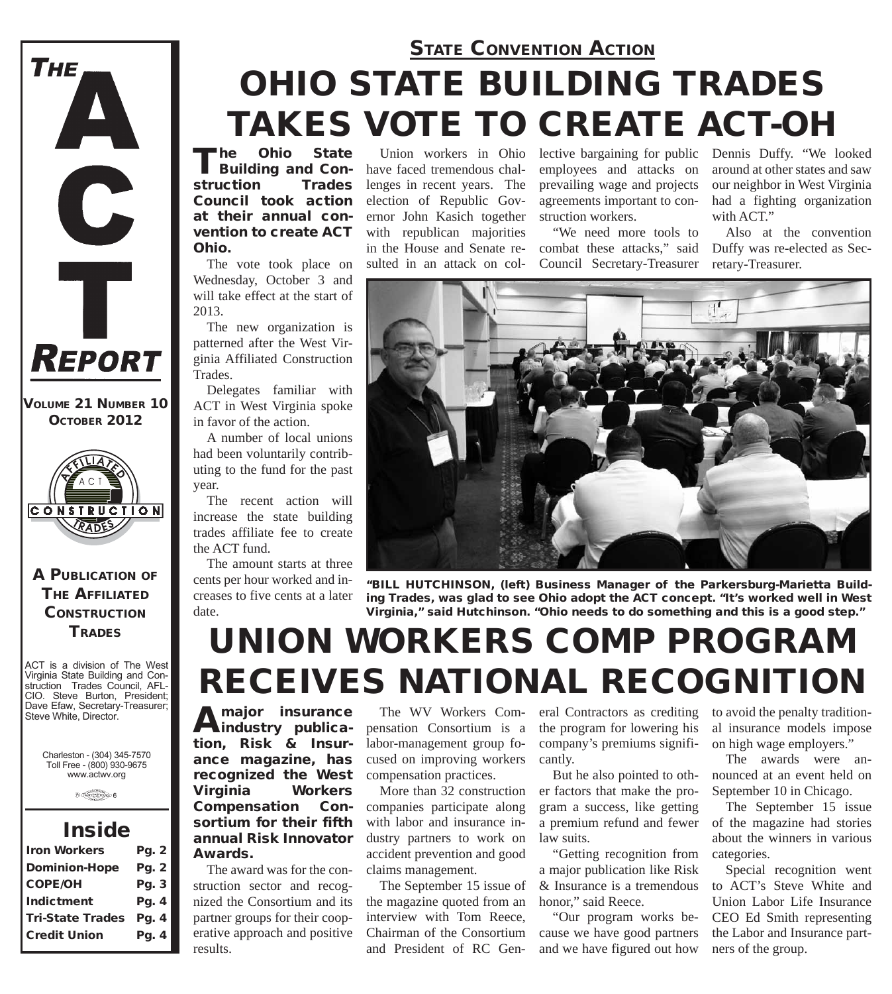## *OHIO STATE BUILDING TRADES TAKES VOTE TO CREATE ACT-OH STATE CONVENTION ACTION*

The Ohio State<br>Building and Construction Trades Council took action at their annual convention to create ACT Ohio.

The vote took place on Wednesday, October 3 and will take effect at the start of 2013.

The new organization is patterned after the West Virginia Affiliated Construction Trades.

Delegates familiar with ACT in West Virginia spoke in favor of the action.

A number of local unions had been voluntarily contributing to the fund for the past year.

The recent action will increase the state building trades affiliate fee to create the ACT fund.

The amount starts at three cents per hour worked and increases to five cents at a later date.

Union workers in Ohio have faced tremendous challenges in recent years. The election of Republic Governor John Kasich together with republican majorities in the House and Senate resulted in an attack on col-

lective bargaining for public Dennis Duffy. "We looked employees and attacks on prevailing wage and projects agreements important to construction workers.

"We need more tools to combat these attacks," said Council Secretary-Treasurer around at other states and saw our neighbor in West Virginia had a fighting organization with ACT."

Also at the convention Duffy was re-elected as Secretary-Treasurer.



*"BILL HUTCHINSON, (left) Business Manager of the Parkersburg-Marietta Building Trades, was glad to see Ohio adopt the ACT concept. "It's worked well in West Virginia," said Hutchinson. "Ohio needs to do something and this is a good step."*

# *UNION WORKERS COMP PROGRAM RECEIVES NATIONAL RECOGNITION*

Amajor insurance<br>
industry publication, Risk & Insurance magazine, has recognized the West Virginia Workers Compensation Consortium for their fifth annual Risk Innovator Awards.

The award was for the construction sector and recognized the Consortium and its partner groups for their cooperative approach and positive results.

The WV Workers Compensation Consortium is a labor-management group focused on improving workers compensation practices.

More than 32 construction companies participate along with labor and insurance industry partners to work on accident prevention and good claims management.

The September 15 issue of the magazine quoted from an interview with Tom Reece, Chairman of the Consortium and President of RC General Contractors as crediting the program for lowering his company's premiums significantly.

But he also pointed to other factors that make the program a success, like getting a premium refund and fewer law suits.

"Getting recognition from a major publication like Risk & Insurance is a tremendous honor," said Reece.

"Our program works because we have good partners and we have figured out how

to avoid the penalty traditional insurance models impose on high wage employers."

The awards were announced at an event held on September 10 in Chicago.

The September 15 issue of the magazine had stories about the winners in various categories.

Special recognition went to ACT's Steve White and Union Labor Life Insurance CEO Ed Smith representing the Labor and Insurance partners of the group.

*OCTOBER 2012*

*VOLUME 21 NUMBER 10*

**REPORT** 

THE

A

Ť



### A PUBLICATION OF **THE AFFILIATED CONSTRUCTION TRADES**

ACT is a division of The West Virginia State Building and Construction Trades Council, AFL-CIO. Steve Burton, President; Dave Efaw, Secretary-Treasurer; Steve White, Director.

Charleston - (304) 345-7570 Toll Free - (800) 930-9675 www.actwv.org

 $\theta$  (restrictions)  $6$ 

### *Inside*

| Pg. 2                            |
|----------------------------------|
| Pg. 2                            |
| Pg. 3                            |
| Pg. 4                            |
| <b>Tri-State Trades</b><br>Pg. 4 |
| Pg. 4                            |
|                                  |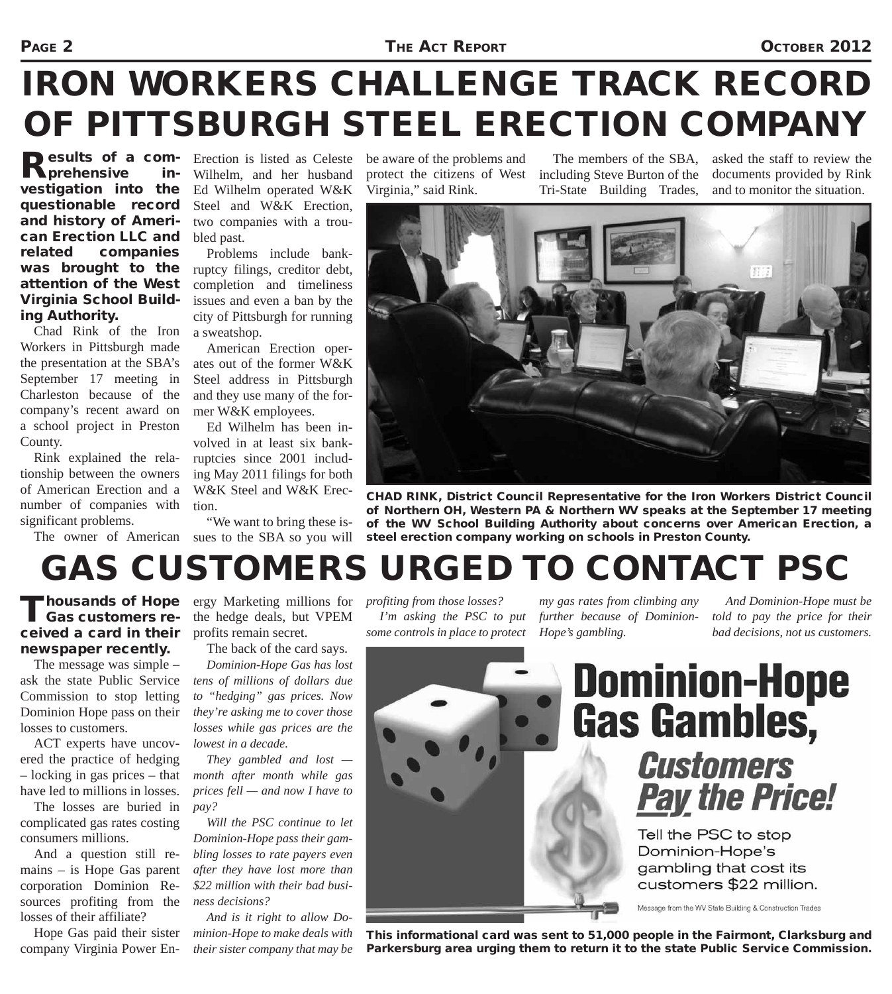#### PAGE 2 **THE ACT REPORT CONTROL**

# *IRON WORKERS CHALLENGE TRACK RECORD OF PITTSBURGH STEEL ERECTION COMPANY*

Results of a comvestigation into the questionable record and history of American Erection LLC and related companies was brought to the attention of the West Virginia School Building Authority.

Chad Rink of the Iron Workers in Pittsburgh made the presentation at the SBA's September 17 meeting in Charleston because of the company's recent award on a school project in Preston County.

Rink explained the relationship between the owners of American Erection and a number of companies with significant problems.

Erection is listed as Celeste Wilhelm, and her husband Ed Wilhelm operated W&K Steel and W&K Erection, two companies with a troubled past.

Problems include bankruptcy filings, creditor debt, completion and timeliness issues and even a ban by the city of Pittsburgh for running a sweatshop.

American Erection operates out of the former W&K Steel address in Pittsburgh and they use many of the former W&K employees.

Ed Wilhelm has been involved in at least six bankruptcies since 2001 including May 2011 filings for both W&K Steel and W&K Erection.

The owner of American sues to the SBA so you will "We want to bring these is-

be aware of the problems and protect the citizens of West Virginia," said Rink.

The members of the SBA, including Steve Burton of the Tri-State Building Trades,

asked the staff to review the documents provided by Rink and to monitor the situation.



*CHAD RINK, District Council Representative for the Iron Workers District Council of Northern OH, Western PA & Northern WV speaks at the September 17 meeting of the WV School Building Authority about concerns over American Erection, a steel erection company working on schools in Preston County.*

# *GAS CUSTOMERS URGED TO CONTACT PSC*

### Gas customers received a card in their newspaper recently.

The message was simple – ask the state Public Service Commission to stop letting Dominion Hope pass on their losses to customers.

ACT experts have uncovered the practice of hedging – locking in gas prices – that have led to millions in losses.

The losses are buried in complicated gas rates costing consumers millions.

And a question still remains – is Hope Gas parent corporation Dominion Resources profiting from the losses of their affiliate?

Hope Gas paid their sister company Virginia Power En-

Thousands of Hope ergy Marketing millions for<br>
Gas customers re- the hedge deals, but VPEM the hedge deals, but VPEM profits remain secret.

The back of the card says.

*Dominion-Hope Gas has lost tens of millions of dollars due to "hedging" gas prices. Now they're asking me to cover those losses while gas prices are the lowest in a decade.*

*They gambled and lost month after month while gas prices fell — and now I have to pay?*

*Will the PSC continue to let Dominion-Hope pass their gambling losses to rate payers even after they have lost more than \$22 million with their bad business decisions?*

*And is it right to allow Dominion-Hope to make deals with their sister company that may be*  *profiting from those losses? I'm asking the PSC to put some controls in place to protect* 

*my gas rates from climbing any further because of Dominion-Hope's gambling.*

*And Dominion-Hope must be told to pay the price for their bad decisions, not us customers.*



### **Customers Pay the Price!**

Tell the PSC to stop Dominion-Hope's gambling that cost its customers \$22 million.

Message from the WV State Building & Construction Trades

*This informational card was sent to 51,000 people in the Fairmont, Clarksburg and Parkersburg area urging them to return it to the state Public Service Commission.*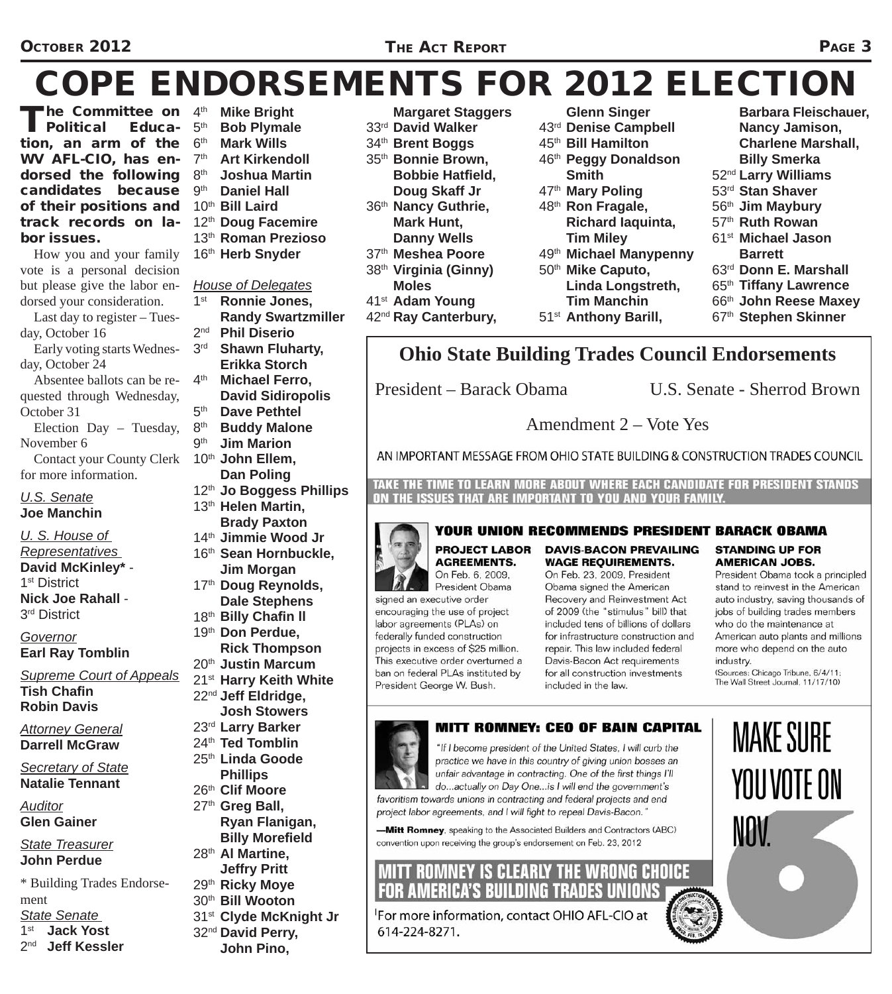#### OCTOBER 2012 **State 2012 THE ACT REPORT SERVICE 3**

# *COPE ENDORSEMENTS FOR 2012 ELECTION*

**The Committee on**  $4^{\text{th}}$ <br>**Political Educa-**  $5^{\text{th}}$  $\overline{\phantom{a}}$  Political tion, an arm of the WV AFL-CIO, has endorsed the following 8th candidates because of their positions and track records on labor issues.

How you and your family vote is a personal decision but please give the labor endorsed your consideration.

Last day to register – Tuesday, October 16

Early voting starts Wednesday, October 24

Absentee ballots can be requested through Wednesday, October 31

Election Day – Tuesday, November 6

Contact your County Clerk for more information.

#### *U.S. Senate* **Joe Manchin**

*U. S. House of* 

*Representatives* **David McKinley\*** -

1<sup>st</sup> District

**Nick Joe Rahall** - 3<sup>rd</sup> District

*Governor* **Earl Ray Tomblin**

*Supreme Court of Appeals*  **Tish Chafin Robin Davis**

*Attorney General* **Darrell McGraw**

*Secretary of State* **Natalie Tennant**

*Auditor* **Glen Gainer** 

*State Treasurer* **John Perdue**

\* Building Trades Endorsement

*State Senate* 

1<sup>st</sup> **Jack Yost**<br>2<sup>nd</sup> **Jeff Kessl** 

**Jeff Kessler** 

- 5<sup>th</sup> **Bob Plymale**<br>6<sup>th</sup> **Mark Wills Mark Wills**
- 7th **Art Kirkendoll**
	-

**Mike Bright** 

- 8<sup>th</sup> **Joshua Martin**<br>9<sup>th</sup> **Daniel Hall Daniel Hall**
- 10th **Bill Laird**
- 12th **Doug Facemire**
- 13th **Roman Prezioso**
- 16th **Herb Snyder**

- *House of Delegates* Ronnie Jones. **Randy Swartzmiller**<br>2<sup>nd</sup> **Phil Diserio Phil Diserio** 3rd **Shawn Fluharty, Erikka Storch** 4th **Michael Ferro, David Sidiropolis**  5<sup>th</sup> **Dave Pethtel**<br>8<sup>th</sup> **Buddy Malon Buddy Malone** 9th **Jim Marion** 10th **John Ellem, Dan Poling**  12th **Jo Boggess Phillips** 13th **Helen Martin, Brady Paxton**  14th **Jimmie Wood Jr** 16th **Sean Hornbuckle, Jim Morgan** 17th **Doug Reynolds, Dale Stephens** 18th **Billy Chafi n ll** 19th **Don Perdue, Rick Thompson** 20th **Justin Marcum** 21st **Harry Keith White** 22nd **Jeff Eldridge, Josh Stowers**
- 23rd **Larry Barker**
- 24th **Ted Tomblin**
- 25th **Linda Goode**
- **Phillips**
- 26th **Clif Moore**
- 27th **Greg Ball,**
- **Ryan Flanigan, Billy Morefield**
- 28th **Al Martine, Jeffry Pritt**
- 29th **Ricky Moye**
- 30th **Bill Wooton**
- 31st **Clyde McKnight Jr**
- 32nd **David Perry,** 
	- **John Pino,**

 **Margaret Staggers** 33rd **David Walker**

- 34th **Brent Boggs**
- 35th **Bonnie Brown, Bobbie Hatfield, Doug Skaff Jr**
- 36th **Nancy Guthrie, Mark Hunt, Danny Wells**
- 37th **Meshea Poore**
- 38th **Virginia (Ginny) Moles**
- 41st **Adam Young**
- 42nd **Ray Canterbury,**

 **Glenn Singer**

- 43rd **Denise Campbell**
- 45th **Bill Hamilton**
- 46th **Peggy Donaldson Smith**
- 47th **Mary Poling**
- 
- 48th **Ron Fragale, Richard Iaquinta, Tim Miley**
- 49th **Michael Manypenny** 50th **Mike Caputo,**
- **Linda Longstreth,**
- **Tim Manchin**
- 51st **Anthony Barill,**

 **Nancy Jamison, Charlene Marshall,** 

 **Barbara Fleischauer,** 

- **Billy Smerka**
- 52nd **Larry Williams**
- 53rd **Stan Shaver**
- 56th **Jim Maybury**
- 57th **Ruth Rowan**
- 61st **Michael Jason** 
	- **Barrett**
	-
- 63rd **Donn E. Marshall**
- 65th **Tiffany Lawrence**
- 66th **John Reese Maxey**
- 67th **Stephen Skinner**

### **Ohio State Building Trades Council Endorsements**

**AGREEMENTS.** 

On Feb. 6, 2009.

President Obama

signed an executive order

encouraging the use of project

labor agreements (PLAs) on

federally funded construction

President George W. Bush.

projects in excess of \$25 million.

This executive order overturned a

ban on federal PLAs instituted by

President – Barack Obama U.S. Senate - Sherrod Brown

Amendment 2 – Vote Yes

AN IMPORTANT MESSAGE FROM OHIO STATE BUILDING & CONSTRUCTION TRADES COUNCIL

TAKE THE TIME TO LEARN MORE ABOUT WHERE EACH CANDIDATE FOR PRESIDENT STANDS ON THE ISSUES THAT ARE IMPORTANT TO YOU AND YOUR FAMILY.



### **YOUR UNION RECOMMENDS PRESIDENT BARACK OBAMA**

**PROJECT LABOR DAVIS-BACON PREVAILING WAGE REOUIREMENTS.** 

On Feb. 23, 2009, President Obama signed the American Recovery and Reinvestment Act of 2009 (the "stimulus" bill) that included tens of billions of dollars for infrastructure construction and repair. This law included federal Davis-Bacon Act requirements for all construction investments included in the law.

#### **STANDING UP FOR AMERICAN JOBS.**

President Obama took a principled stand to reinvest in the American auto industry, saving thousands of jobs of building trades members who do the maintenance at American auto plants and millions more who depend on the auto industry. (Sources: Chicago Tribune, 6/4/11;

The Wall Street Journal, 11/17/10)

**MAKE SURE** 

YOU VOTE ON



#### **MITT ROMNEY: CEO OF BAIN CAPITAL**

"If I become president of the United States, I will curb the practice we have in this country of giving union bosses an unfair advantage in contracting. One of the first things I'll do...actually on Day One...is I will end the government's favoritism towards unions in contracting and federal projects and end project labor agreements, and I will fight to repeal Davis-Bacon."

-Mitt Romney, speaking to the Associated Builders and Contractors (ABC) convention upon receiving the group's endorsement on Feb. 23, 2012

### **MITT ROMNEY IS CLEARLY THE WRONG CHOICE FOR AMERICA'S BUILDING TRADES UNIONS**

For more information, contact OHIO AFL-CIO at 614-224-8271.